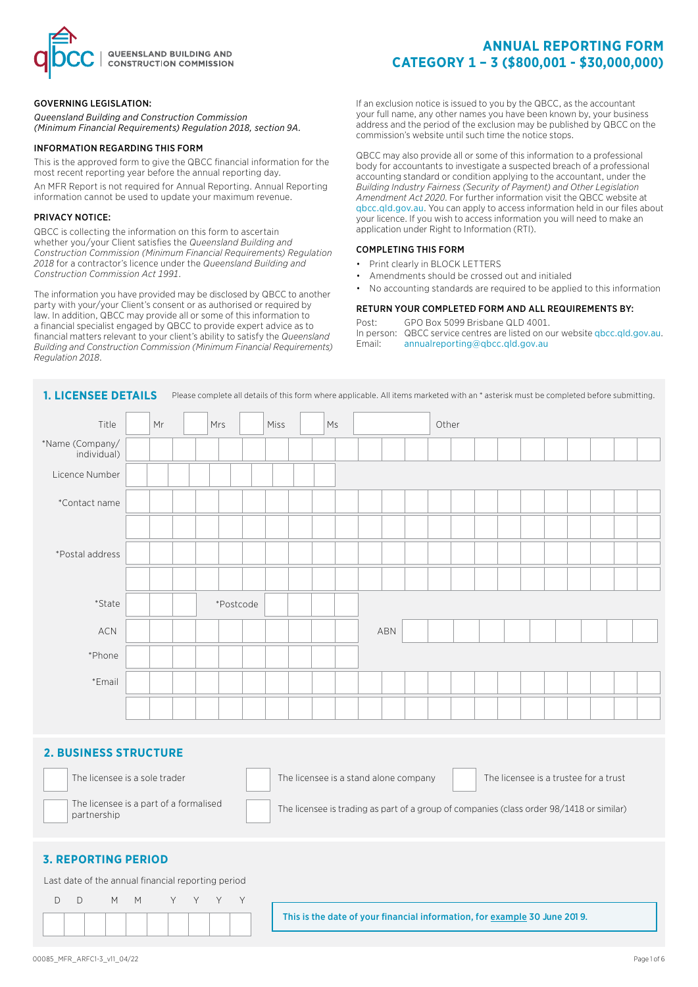

### GOVERNING LEGISLATION:

*Queensland Building and Construction Commission (Minimum Financial Requirements) Regulation 2018, section 9A.*

#### INFORMATION REGARDING THIS FORM

This is the approved form to give the QBCC financial information for the most recent reporting year before the annual reporting day. An MFR Report is not required for Annual Reporting. Annual Reporting information cannot be used to update your maximum revenue.

#### PRIVACY NOTICE:

QBCC is collecting the information on this form to ascertain whether you/your Client satisfies the *Queensland Building and Construction Commission (Minimum Financial Requirements) Regulation 2018* for a contractor's licence under the *Queensland Building and Construction Commission Act 1991*.

The information you have provided may be disclosed by QBCC to another party with your/your Client's consent or as authorised or required by law. In addition, QBCC may provide all or some of this information to a financial specialist engaged by QBCC to provide expert advice as to financial matters relevant to your client's ability to satisfy the *Queensland Building and Construction Commission (Minimum Financial Requirements) Regulation 2018*.

If an exclusion notice is issued to you by the QBCC, as the accountant your full name, any other names you have been known by, your business address and the period of the exclusion may be published by QBCC on the commission's website until such time the notice stops.

**CATEGORY 1 – 3 (\$800,001 - \$30,000,000)**

**ANNUAL REPORTING FORM**

QBCC may also provide all or some of this information to a professional body for accountants to investigate a suspected breach of a professional accounting standard or condition applying to the accountant, under the *Building Industry Fairness (Security of Payment) and Other Legislation Amendment Act 2020*. For further information visit the QBCC website at qbcc.qld.gov.au. You can apply to access information held in our files about your licence. If you wish to access information you will need to make an application under Right to Information (RTI).

#### COMPLETING THIS FORM

- Print clearly in BLOCK LETTERS
- Amendments should be crossed out and initialed
- No accounting standards are required to be applied to this information

#### RETURN YOUR COMPLETED FORM AND ALL REQUIREMENTS BY:

Post: GPO Box 5099 Brisbane QLD 4001. In person: QBCC service centres are listed on our website gbcc.qld.gov.au. Email: annualreporting@qbcc.qld.gov.au

| <b>1. LICENSEE DETAILS</b>     |    |           | Please complete all details of this form where applicable. All items marketed with an * asterisk must be completed before submitting. |    |     |       |  |  |  |  |
|--------------------------------|----|-----------|---------------------------------------------------------------------------------------------------------------------------------------|----|-----|-------|--|--|--|--|
| Title                          | Mr | Mrs       | Miss                                                                                                                                  | Ms |     | Other |  |  |  |  |
| *Name (Company/<br>individual) |    |           |                                                                                                                                       |    |     |       |  |  |  |  |
| Licence Number                 |    |           |                                                                                                                                       |    |     |       |  |  |  |  |
| *Contact name                  |    |           |                                                                                                                                       |    |     |       |  |  |  |  |
|                                |    |           |                                                                                                                                       |    |     |       |  |  |  |  |
| *Postal address                |    |           |                                                                                                                                       |    |     |       |  |  |  |  |
|                                |    |           |                                                                                                                                       |    |     |       |  |  |  |  |
| *State                         |    | *Postcode |                                                                                                                                       |    |     |       |  |  |  |  |
| $\sf{ACN}$                     |    |           |                                                                                                                                       |    | ABN |       |  |  |  |  |
| *Phone                         |    |           |                                                                                                                                       |    |     |       |  |  |  |  |
| *Email                         |    |           |                                                                                                                                       |    |     |       |  |  |  |  |
|                                |    |           |                                                                                                                                       |    |     |       |  |  |  |  |

## **2. BUSINESS STRUCTURE**

| The licensee is a sole trader                         | The licensee is a stand alone company                                                    | The licensee is a trustee for a trust |
|-------------------------------------------------------|------------------------------------------------------------------------------------------|---------------------------------------|
| The licensee is a part of a formalised<br>partnership | The licensee is trading as part of a group of companies (class order 98/1418 or similar) |                                       |
| <b>3. REPORTING PERIOD</b>                            |                                                                                          |                                       |

#### Last date of the annual financial reporting period

|  | DD M M Y Y Y Y |  |  |  |  |
|--|----------------|--|--|--|--|
|  |                |  |  |  |  |

This is the date of your financial information, for example 30 June 201 9.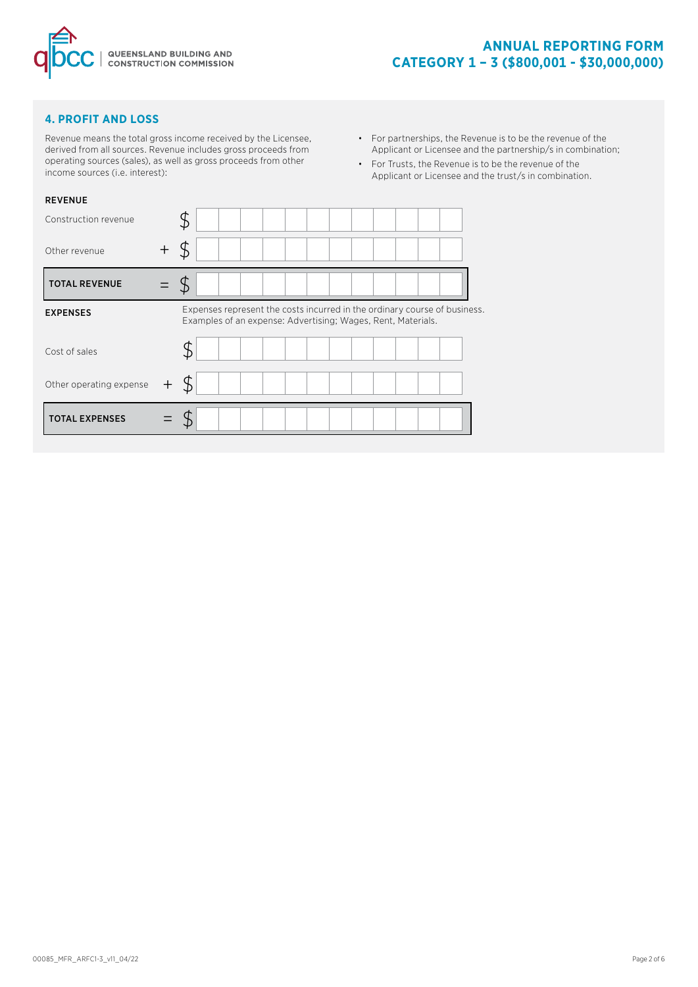

## **4. PROFIT AND LOSS**

Revenue means the total gross income received by the Licensee, derived from all sources. Revenue includes gross proceeds from operating sources (sales), as well as gross proceeds from other income sources (i.e. interest):

- For partnerships, the Revenue is to be the revenue of the Applicant or Licensee and the partnership/s in combination;
- For Trusts, the Revenue is to be the revenue of the Applicant or Licensee and the trust/s in combination.

| <b>REVENUE</b>          |         |                                                                                                                                           |
|-------------------------|---------|-------------------------------------------------------------------------------------------------------------------------------------------|
| Construction revenue    |         | \$                                                                                                                                        |
| Other revenue           | $\,+\,$ | Ъ                                                                                                                                         |
| <b>TOTAL REVENUE</b>    |         |                                                                                                                                           |
| <b>EXPENSES</b>         |         | Expenses represent the costs incurred in the ordinary course of business.<br>Examples of an expense: Advertising; Wages, Rent, Materials. |
| Cost of sales           |         |                                                                                                                                           |
| Other operating expense |         |                                                                                                                                           |
| <b>TOTAL EXPENSES</b>   |         |                                                                                                                                           |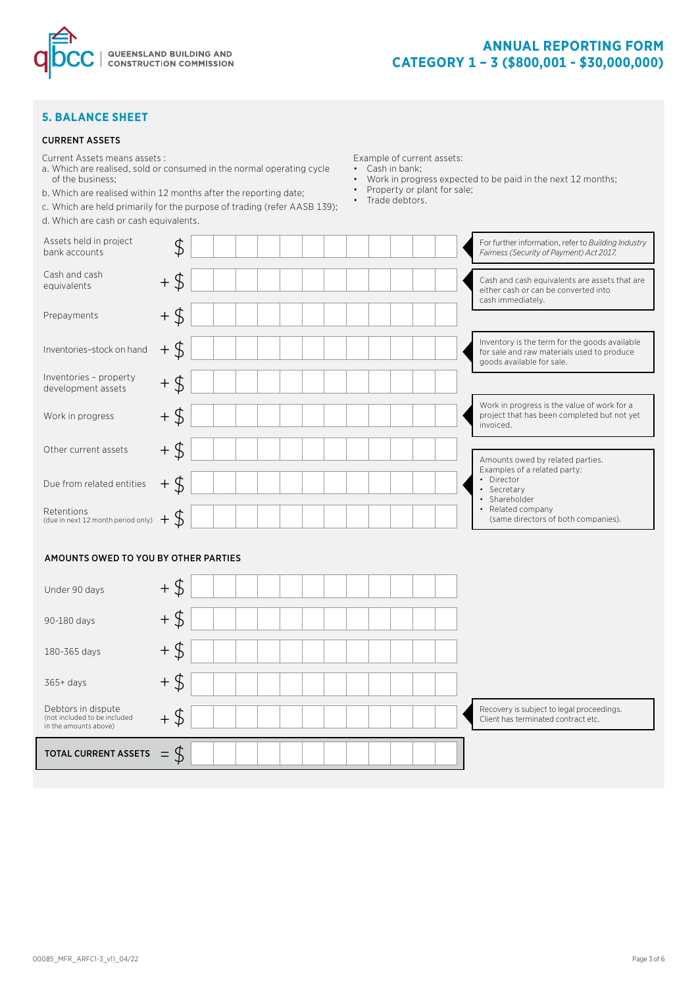

## **5. BALANCE SHEET**

#### CURRENT ASSETS

Current Assets means assets :

- a. Which are realised, sold or consumed in the normal operating cycle of the business;
- b. Which are realised within 12 months after the reporting date;
- c. Which are held primarily for the purpose of trading (refer AASB 139);
- d. Which are cash or cash equivalents.

Example of current assets: • Cash in bank;

- Work in progress expected to be paid in the next 12 months;
- Property or plant for sale;
- Trade debtors.

| Assets held in project<br>bank accounts                                     | \$     | For further information, refer to Building Industry<br>Fairness (Security of Payment) Act 2017.                          |
|-----------------------------------------------------------------------------|--------|--------------------------------------------------------------------------------------------------------------------------|
| Cash and cash<br>equivalents                                                | $+$ \$ | Cash and cash equivalents are assets that are<br>either cash or can be converted into<br>cash immediately.               |
| Prepayments                                                                 | $+$ \$ |                                                                                                                          |
| Inventories-stock on hand                                                   | $+$ \$ | Inventory is the term for the goods available<br>for sale and raw materials used to produce<br>goods available for sale. |
| Inventories - property<br>development assets                                | $+$ \$ |                                                                                                                          |
| Work in progress                                                            | $+$ \$ | Work in progress is the value of work for a<br>project that has been completed but not yet<br>invoiced.                  |
| Other current assets                                                        | $+$ \$ | Amounts owed by related parties.                                                                                         |
| Due from related entities                                                   | $+$ \$ | Examples of a related party:<br>• Director<br>Secretary<br>· Shareholder                                                 |
| Retentions<br>(due in next 12 month period only)                            | $+$ \$ | • Related company<br>(same directors of both companies).                                                                 |
| AMOUNTS OWED TO YOU BY OTHER PARTIES                                        |        |                                                                                                                          |
| Under 90 days                                                               | $+$ \$ |                                                                                                                          |
| 90-180 days                                                                 | $+$ \$ |                                                                                                                          |
| 180-365 days                                                                | $+$ \$ |                                                                                                                          |
| $365+$ days                                                                 | $+$ \$ |                                                                                                                          |
| Debtors in dispute<br>(not included to be included<br>in the amounts above) |        | Recovery is subject to legal proceedings.<br>Client has terminated contract etc.                                         |

TOTAL CURRENT ASSETS  $\phi = \text{const}$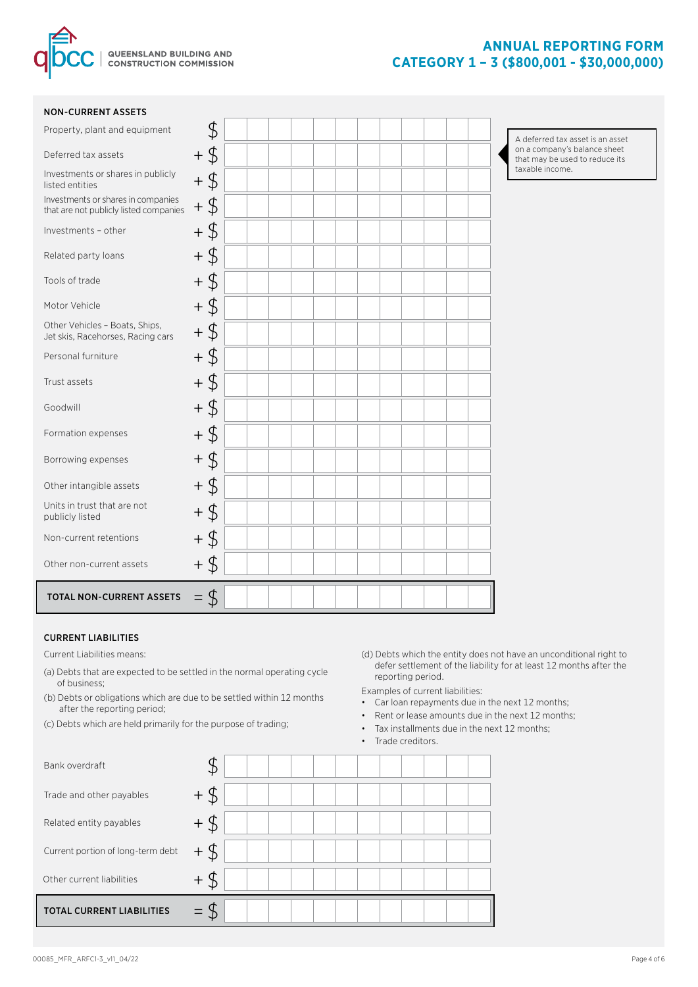

### NON-CURRENT ASSETS

A deferred tax asset is an asset on a company's balance sheet that may be used to reduce its taxable income.

### CURRENT LIABILITIES

Current Liabilities means:

- (a) Debts that are expected to be settled in the normal operating cycle of business;
- (b) Debts or obligations which are due to be settled within 12 months after the reporting period;
- (c) Debts which are held primarily for the purpose of trading;
- (d) Debts which the entity does not have an unconditional right to defer settlement of the liability for at least 12 months after the reporting period.

Examples of current liabilities:

- Car loan repayments due in the next 12 months;
- Rent or lease amounts due in the next 12 months;
- Tax installments due in the next 12 months;
- Trade creditors.

| Bank overdraft                    |          |  |  |  |  |  |
|-----------------------------------|----------|--|--|--|--|--|
| Trade and other payables          | $+$<br>Ъ |  |  |  |  |  |
| Related entity payables           |          |  |  |  |  |  |
| Current portion of long-term debt |          |  |  |  |  |  |
| Other current liabilities         |          |  |  |  |  |  |
| <b>TOTAL CURRENT LIABILITIES</b>  |          |  |  |  |  |  |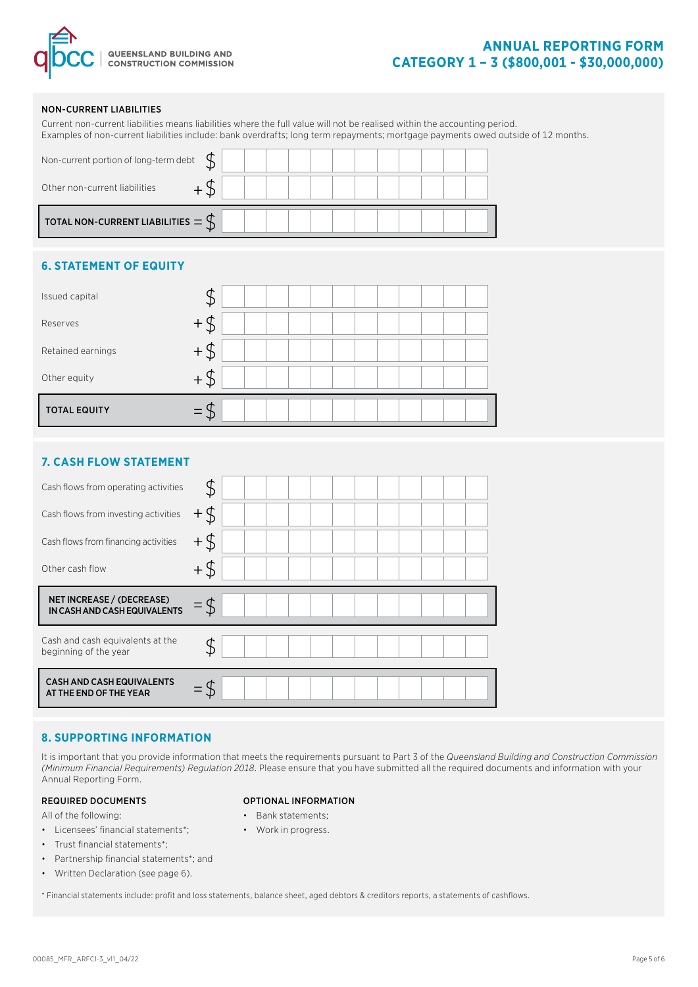

# **ANNUAL REPORTING FORM CATEGORY 1 – 3 (\$800,001 - \$30,000,000)**

### NON-CURRENT LIABILITIES

|                                                 | Examples of non-current liabilities include: bank overdrafts; long term repayments; mortgage payments owed outside of 12 months. |  |
|-------------------------------------------------|----------------------------------------------------------------------------------------------------------------------------------|--|
| Non-current portion of long-term debt           |                                                                                                                                  |  |
| Other non-current liabilities                   |                                                                                                                                  |  |
| TOTAL NON-CURRENT LIABILITIES $=$ $\mathcal{S}$ |                                                                                                                                  |  |

Current non-current liabilities means liabilities where the full value will not be realised within the accounting period.

## **6. STATEMENT OF EQUITY**

| Issued capital      |     |
|---------------------|-----|
| Reserves            |     |
| Retained earnings   |     |
| Other equity        | . D |
| <b>TOTAL EQUITY</b> |     |

## **7. CASH FLOW STATEMENT**

| Cash flows from operating activities                      |      |  |  |  |  |  |  |
|-----------------------------------------------------------|------|--|--|--|--|--|--|
| Cash flows from investing activities                      | ₿    |  |  |  |  |  |  |
| Cash flows from financing activities                      | $+5$ |  |  |  |  |  |  |
| Other cash flow                                           |      |  |  |  |  |  |  |
|                                                           |      |  |  |  |  |  |  |
| NET INCREASE / (DECREASE)<br>IN CASH AND CASH EQUIVALENTS |      |  |  |  |  |  |  |
| Cash and cash equivalents at the<br>beginning of the year |      |  |  |  |  |  |  |

### **8. SUPPORTING INFORMATION**

It is important that you provide information that meets the requirements pursuant to Part 3 of the *Queensland Building and Construction Commission (Minimum Financial Requirements) Regulation 2018*. Please ensure that you have submitted all the required documents and information with your Annual Reporting Form.

### REQUIRED DOCUMENTS

All of the following:

- Licensees' financial statements\*;
- Trust financial statements\*;
- Partnership financial statements\*; and
- Written Declaration (see page 6).

OPTIONAL INFORMATION

- Bank statements;
- Work in progress.

\* Financial statements include: profit and loss statements, balance sheet, aged debtors & creditors reports, a statements of cashflows.